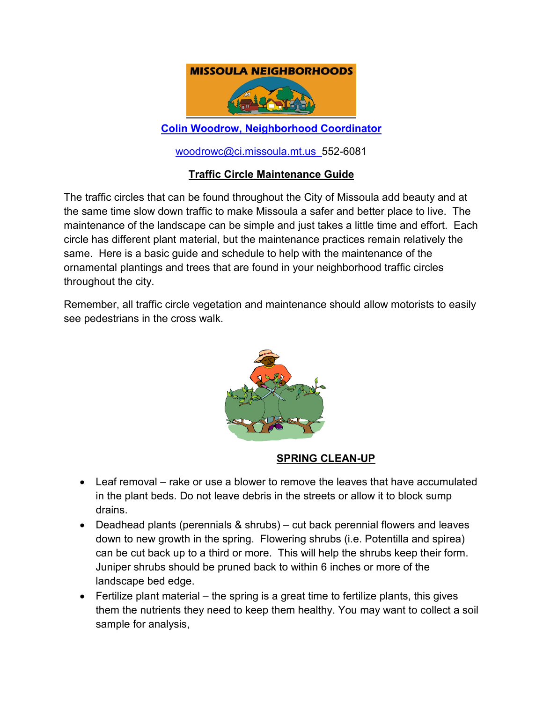

**[Colin Woodrow, Neighborhood Coordinator](mailto:jkelly@ci.missoula.mt.us?subject=Traffic%20Circles)**

[woodrowc@ci.missoula.mt.us](mailto:woodrowc@ci.missoula.mt.us) 552-6081

## **Traffic Circle Maintenance Guide**

The traffic circles that can be found throughout the City of Missoula add beauty and at the same time slow down traffic to make Missoula a safer and better place to live. The maintenance of the landscape can be simple and just takes a little time and effort. Each circle has different plant material, but the maintenance practices remain relatively the same. Here is a basic guide and schedule to help with the maintenance of the ornamental plantings and trees that are found in your neighborhood traffic circles throughout the city.

Remember, all traffic circle vegetation and maintenance should allow motorists to easily see pedestrians in the cross walk.



## **SPRING CLEAN-UP**

- Leaf removal rake or use a blower to remove the leaves that have accumulated in the plant beds. Do not leave debris in the streets or allow it to block sump drains.
- Deadhead plants (perennials & shrubs) cut back perennial flowers and leaves down to new growth in the spring. Flowering shrubs (i.e. Potentilla and spirea) can be cut back up to a third or more. This will help the shrubs keep their form. Juniper shrubs should be pruned back to within 6 inches or more of the landscape bed edge.
- $\bullet$  Fertilize plant material the spring is a great time to fertilize plants, this gives them the nutrients they need to keep them healthy. You may want to collect a soil sample for analysis,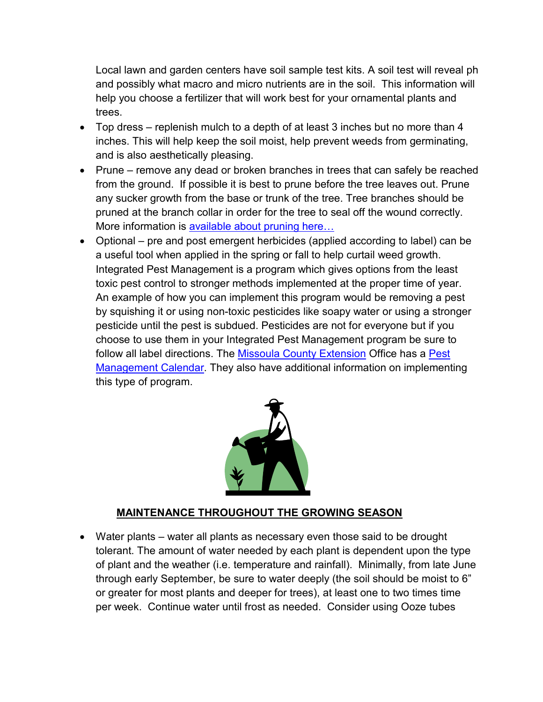Local lawn and garden centers have soil sample test kits. A soil test will reveal ph and possibly what macro and micro nutrients are in the soil. This information will help you choose a fertilizer that will work best for your ornamental plants and trees.

- Top dress replenish mulch to a depth of at least 3 inches but no more than 4 inches. This will help keep the soil moist, help prevent weeds from germinating, and is also aesthetically pleasing.
- Prune remove any dead or broken branches in trees that can safely be reached from the ground. If possible it is best to prune before the tree leaves out. Prune any sucker growth from the base or trunk of the tree. Tree branches should be pruned at the branch collar in order for the tree to seal off the wound correctly. More information is available about pruning here...
- Optional pre and post emergent herbicides (applied according to label) can be a useful tool when applied in the spring or fall to help curtail weed growth. Integrated Pest Management is a program which gives options from the least toxic pest control to stronger methods implemented at the proper time of year. An example of how you can implement this program would be removing a pest by squishing it or using non-toxic pesticides like soapy water or using a stronger pesticide until the pest is subdued. Pesticides are not for everyone but if you choose to use them in your Integrated Pest Management program be sure to follow all label directions. The [Missoula County Extension](http://www.missoulaeduplace.org/) Office has a Pest [Management Calendar.](http://www.missoulaeduplace.org/images/horticulture/Publications/PEST_CALENDAR_2013.pdf) They also have additional information on implementing this type of program.



## **MAINTENANCE THROUGHOUT THE GROWING SEASON**

• Water plants – water all plants as necessary even those said to be drought tolerant. The amount of water needed by each plant is dependent upon the type of plant and the weather (i.e. temperature and rainfall). Minimally, from late June through early September, be sure to water deeply (the soil should be moist to 6" or greater for most plants and deeper for trees), at least one to two times time per week. Continue water until frost as needed. Consider using Ooze tubes